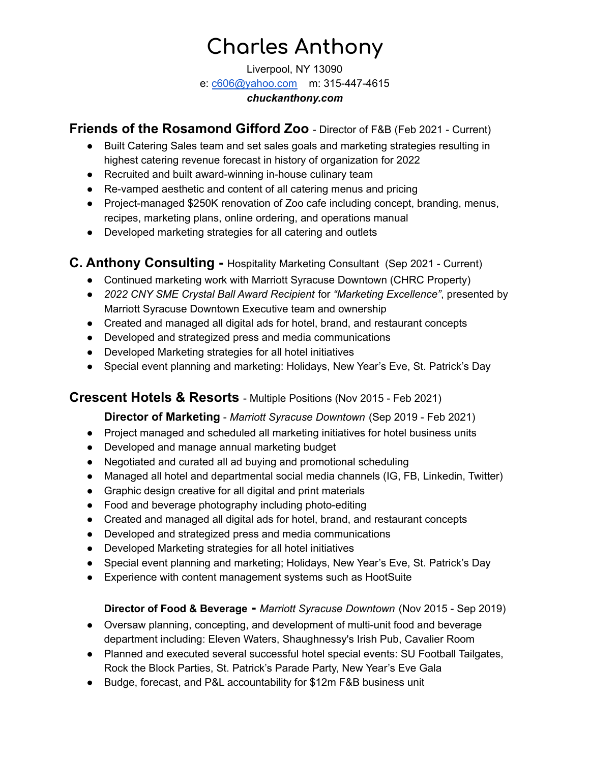# **Charles Anthony**

Liverpool, NY 13090 e: [c606@yahoo.com](mailto:c606@yahoo.com) m: 315-447-4615 *chuckanthony.com*

**Friends of the Rosamond Gifford Zoo** - Director of F&B (Feb 2021 - Current)

- Built Catering Sales team and set sales goals and marketing strategies resulting in highest catering revenue forecast in history of organization for 2022
- Recruited and built award-winning in-house culinary team
- Re-vamped aesthetic and content of all catering menus and pricing
- Project-managed \$250K renovation of Zoo cafe including concept, branding, menus, recipes, marketing plans, online ordering, and operations manual
- Developed marketing strategies for all catering and outlets

# **C. Anthony Consulting -** Hospitality Marketing Consultant (Sep 2021 - Current)

- Continued marketing work with Marriott Syracuse Downtown (CHRC Property)
- *2022 CNY SME Crystal Ball Award Recipient* for *"Marketing Excellence"*, presented by Marriott Syracuse Downtown Executive team and ownership
- Created and managed all digital ads for hotel, brand, and restaurant concepts
- Developed and strategized press and media communications
- Developed Marketing strategies for all hotel initiatives
- Special event planning and marketing: Holidays, New Year's Eve, St. Patrick's Day

# **Crescent Hotels & Resorts** - Multiple Positions (Nov 2015 - Feb 2021)

# **Director of Marketing** - *Marriott Syracuse Downtown* (Sep 2019 - Feb 2021)

- Project managed and scheduled all marketing initiatives for hotel business units
- Developed and manage annual marketing budget
- Negotiated and curated all ad buying and promotional scheduling
- Managed all hotel and departmental social media channels (IG, FB, Linkedin, Twitter)
- Graphic design creative for all digital and print materials
- Food and beverage photography including photo-editing
- Created and managed all digital ads for hotel, brand, and restaurant concepts
- Developed and strategized press and media communications
- Developed Marketing strategies for all hotel initiatives
- Special event planning and marketing; Holidays, New Year's Eve, St. Patrick's Day
- Experience with content management systems such as HootSuite

# **Director of Food & Beverage -** *Marriott Syracuse Downtown* (Nov 2015 - Sep 2019)

- Oversaw planning, concepting, and development of multi-unit food and beverage department including: Eleven Waters, Shaughnessy's Irish Pub, Cavalier Room
- Planned and executed several successful hotel special events: SU Football Tailgates, Rock the Block Parties, St. Patrick's Parade Party, New Year's Eve Gala
- Budge, forecast, and P&L accountability for \$12m F&B business unit